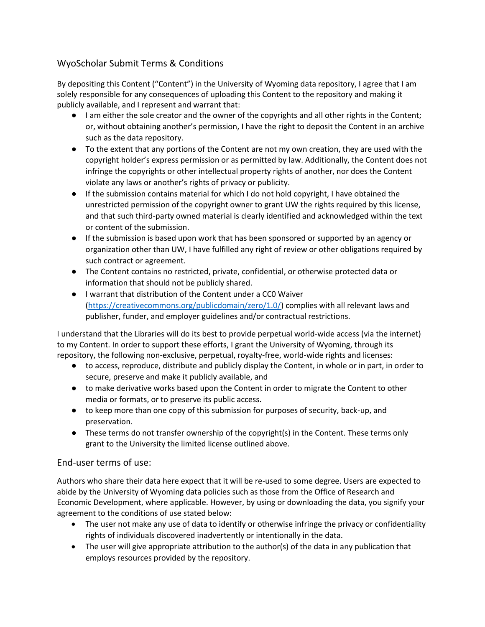## WyoScholar Submit Terms & Conditions

By depositing this Content ("Content") in the University of Wyoming data repository, I agree that I am solely responsible for any consequences of uploading this Content to the repository and making it publicly available, and I represent and warrant that:

- I am either the sole creator and the owner of the copyrights and all other rights in the Content; or, without obtaining another's permission, I have the right to deposit the Content in an archive such as the data repository.
- To the extent that any portions of the Content are not my own creation, they are used with the copyright holder's express permission or as permitted by law. Additionally, the Content does not infringe the copyrights or other intellectual property rights of another, nor does the Content violate any laws or another's rights of privacy or publicity.
- If the submission contains material for which I do not hold copyright, I have obtained the unrestricted permission of the copyright owner to grant UW the rights required by this license, and that such third-party owned material is clearly identified and acknowledged within the text or content of the submission.
- If the submission is based upon work that has been sponsored or supported by an agency or organization other than UW, I have fulfilled any right of review or other obligations required by such contract or agreement.
- The Content contains no restricted, private, confidential, or otherwise protected data or information that should not be publicly shared.
- I warrant that distribution of the Content under a CC0 Waiver [\(https://creativecommons.org/publicdomain/zero/1.0/\)](https://creativecommons.org/publicdomain/zero/1.0/) complies with all relevant laws and publisher, funder, and employer guidelines and/or contractual restrictions.

I understand that the Libraries will do its best to provide perpetual world-wide access (via the internet) to my Content. In order to support these efforts, I grant the University of Wyoming, through its repository, the following non-exclusive, perpetual, royalty-free, world-wide rights and licenses:

- to access, reproduce, distribute and publicly display the Content, in whole or in part, in order to secure, preserve and make it publicly available, and
- to make derivative works based upon the Content in order to migrate the Content to other media or formats, or to preserve its public access.
- to keep more than one copy of this submission for purposes of security, back-up, and preservation.
- These terms do not transfer ownership of the copyright(s) in the Content. These terms only grant to the University the limited license outlined above.

## End-user terms of use:

Authors who share their data here expect that it will be re-used to some degree. Users are expected to abide by the University of Wyoming data policies such as those from the Office of Research and Economic Development, where applicable. However, by using or downloading the data, you signify your agreement to the conditions of use stated below:

- The user not make any use of data to identify or otherwise infringe the privacy or confidentiality rights of individuals discovered inadvertently or intentionally in the data.
- The user will give appropriate attribution to the author(s) of the data in any publication that employs resources provided by the repository.